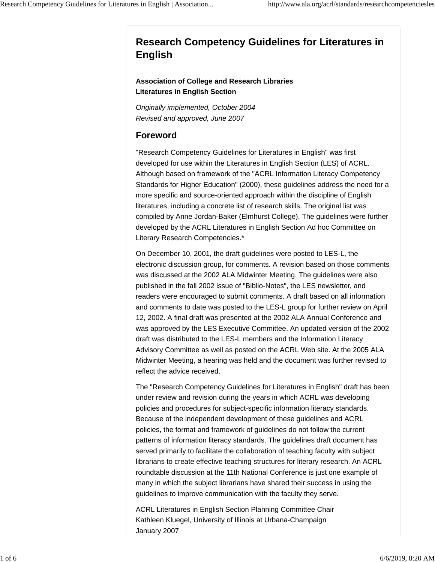# **Research Competency Guidelines for Literatures in English**

#### **Association of College and Research Libraries Literatures in English Section**

*Originally implemented, October 2004 Revised and approved, June 2007*

# **Foreword**

"Research Competency Guidelines for Literatures in English" was first developed for use within the Literatures in English Section (LES) of ACRL. Although based on framework of the "ACRL Information Literacy Competency Standards for Higher Education" (2000), these guidelines address the need for a more specific and source-oriented approach within the discipline of English literatures, including a concrete list of research skills. The original list was compiled by Anne Jordan-Baker (Elmhurst College). The guidelines were further developed by the ACRL Literatures in English Section Ad hoc Committee on Literary Research Competencies.\*

On December 10, 2001, the draft guidelines were posted to LES-L, the electronic discussion group, for comments. A revision based on those comments was discussed at the 2002 ALA Midwinter Meeting. The guidelines were also published in the fall 2002 issue of "Biblio-Notes", the LES newsletter, and readers were encouraged to submit comments. A draft based on all information and comments to date was posted to the LES-L group for further review on April 12, 2002. A final draft was presented at the 2002 ALA Annual Conference and was approved by the LES Executive Committee. An updated version of the 2002 draft was distributed to the LES-L members and the Information Literacy Advisory Committee as well as posted on the ACRL Web site. At the 2005 ALA Midwinter Meeting, a hearing was held and the document was further revised to reflect the advice received.

The "Research Competency Guidelines for Literatures in English" draft has been under review and revision during the years in which ACRL was developing policies and procedures for subject-specific information literacy standards. Because of the independent development of these guidelines and ACRL policies, the format and framework of guidelines do not follow the current patterns of information literacy standards. The guidelines draft document has served primarily to facilitate the collaboration of teaching faculty with subject librarians to create effective teaching structures for literary research. An ACRL roundtable discussion at the 11th National Conference is just one example of many in which the subject librarians have shared their success in using the guidelines to improve communication with the faculty they serve.

ACRL Literatures in English Section Planning Committee Chair Kathleen Kluegel, University of Illinois at Urbana-Champaign January 2007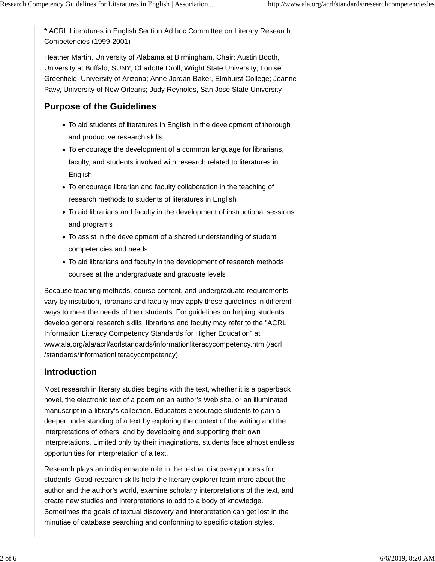\* ACRL Literatures in English Section Ad hoc Committee on Literary Research Competencies (1999-2001)

Heather Martin, University of Alabama at Birmingham, Chair; Austin Booth, University at Buffalo, SUNY; Charlotte Droll, Wright State University; Louise Greenfield, University of Arizona; Anne Jordan-Baker, Elmhurst College; Jeanne Pavy, University of New Orleans; Judy Reynolds, San Jose State University

### **Purpose of the Guidelines**

- To aid students of literatures in English in the development of thorough and productive research skills
- To encourage the development of a common language for librarians, faculty, and students involved with research related to literatures in English
- To encourage librarian and faculty collaboration in the teaching of research methods to students of literatures in English
- To aid librarians and faculty in the development of instructional sessions and programs
- To assist in the development of a shared understanding of student competencies and needs
- To aid librarians and faculty in the development of research methods courses at the undergraduate and graduate levels

Because teaching methods, course content, and undergraduate requirements vary by institution, librarians and faculty may apply these guidelines in different ways to meet the needs of their students. For guidelines on helping students develop general research skills, librarians and faculty may refer to the "ACRL Information Literacy Competency Standards for Higher Education" at www.ala.org/ala/acrl/acrlstandards/informationliteracycompetency.htm (/acrl /standards/informationliteracycompetency).

#### **Introduction**

Most research in literary studies begins with the text, whether it is a paperback novel, the electronic text of a poem on an author's Web site, or an illuminated manuscript in a library's collection. Educators encourage students to gain a deeper understanding of a text by exploring the context of the writing and the interpretations of others, and by developing and supporting their own interpretations. Limited only by their imaginations, students face almost endless opportunities for interpretation of a text.

Research plays an indispensable role in the textual discovery process for students. Good research skills help the literary explorer learn more about the author and the author's world, examine scholarly interpretations of the text, and create new studies and interpretations to add to a body of knowledge. Sometimes the goals of textual discovery and interpretation can get lost in the minutiae of database searching and conforming to specific citation styles.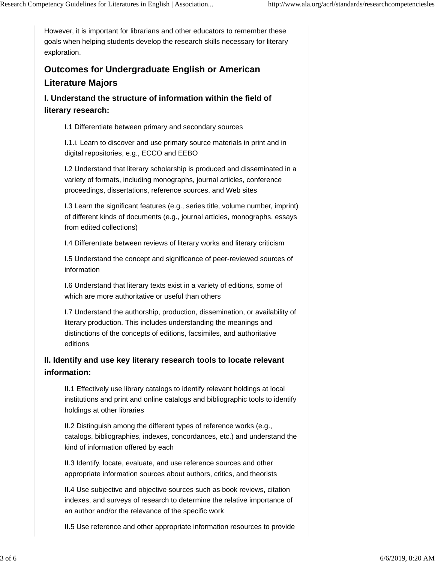However, it is important for librarians and other educators to remember these goals when helping students develop the research skills necessary for literary exploration.

# **Outcomes for Undergraduate English or American Literature Majors**

**I. Understand the structure of information within the field of literary research:**

I.1 Differentiate between primary and secondary sources

I.1.i. Learn to discover and use primary source materials in print and in digital repositories, e.g., ECCO and EEBO

I.2 Understand that literary scholarship is produced and disseminated in a variety of formats, including monographs, journal articles, conference proceedings, dissertations, reference sources, and Web sites

I.3 Learn the significant features (e.g., series title, volume number, imprint) of different kinds of documents (e.g., journal articles, monographs, essays from edited collections)

I.4 Differentiate between reviews of literary works and literary criticism

I.5 Understand the concept and significance of peer-reviewed sources of information

I.6 Understand that literary texts exist in a variety of editions, some of which are more authoritative or useful than others

I.7 Understand the authorship, production, dissemination, or availability of literary production. This includes understanding the meanings and distinctions of the concepts of editions, facsimiles, and authoritative editions

# **II. Identify and use key literary research tools to locate relevant information:**

II.1 Effectively use library catalogs to identify relevant holdings at local institutions and print and online catalogs and bibliographic tools to identify holdings at other libraries

II.2 Distinguish among the different types of reference works (e.g., catalogs, bibliographies, indexes, concordances, etc.) and understand the kind of information offered by each

II.3 Identify, locate, evaluate, and use reference sources and other appropriate information sources about authors, critics, and theorists

II.4 Use subjective and objective sources such as book reviews, citation indexes, and surveys of research to determine the relative importance of an author and/or the relevance of the specific work

II.5 Use reference and other appropriate information resources to provide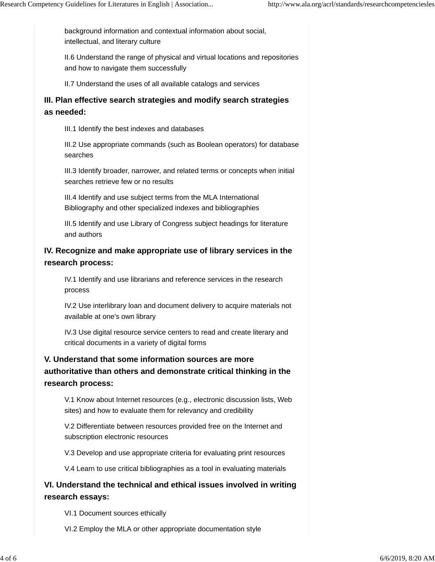background information and contextual information about social, intellectual, and literary culture

II.6 Understand the range of physical and virtual locations and repositories and how to navigate them successfully

II.7 Understand the uses of all available catalogs and services

### **III. Plan effective search strategies and modify search strategies as needed:**

III.1 Identify the best indexes and databases

III.2 Use appropriate commands (such as Boolean operators) for database searches

III.3 Identify broader, narrower, and related terms or concepts when initial searches retrieve few or no results

III.4 Identify and use subject terms from the MLA International Bibliography and other specialized indexes and bibliographies

III.5 Identify and use Library of Congress subject headings for literature and authors

## **IV. Recognize and make appropriate use of library services in the research process:**

IV.1 Identify and use librarians and reference services in the research process

IV.2 Use interlibrary loan and document delivery to acquire materials not available at one's own library

IV.3 Use digital resource service centers to read and create literary and critical documents in a variety of digital forms

# **V. Understand that some information sources are more authoritative than others and demonstrate critical thinking in the research process:**

V.1 Know about Internet resources (e.g., electronic discussion lists, Web sites) and how to evaluate them for relevancy and credibility

V.2 Differentiate between resources provided free on the Internet and subscription electronic resources

V.3 Develop and use appropriate criteria for evaluating print resources

V.4 Learn to use critical bibliographies as a tool in evaluating materials

## **VI. Understand the technical and ethical issues involved in writing research essays:**

VI.1 Document sources ethically

VI.2 Employ the MLA or other appropriate documentation style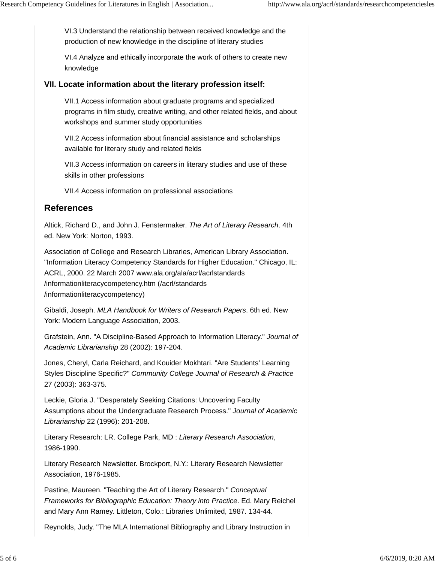VI.3 Understand the relationship between received knowledge and the production of new knowledge in the discipline of literary studies

VI.4 Analyze and ethically incorporate the work of others to create new knowledge

#### **VII. Locate information about the literary profession itself:**

VII.1 Access information about graduate programs and specialized programs in film study, creative writing, and other related fields, and about workshops and summer study opportunities

VII.2 Access information about financial assistance and scholarships available for literary study and related fields

VII.3 Access information on careers in literary studies and use of these skills in other professions

VII.4 Access information on professional associations

#### **References**

Altick, Richard D., and John J. Fenstermaker. *The Art of Literary Research*. 4th ed. New York: Norton, 1993.

Association of College and Research Libraries, American Library Association. "Information Literacy Competency Standards for Higher Education." Chicago, IL: ACRL, 2000. 22 March 2007 www.ala.org/ala/acrl/acrlstandards /informationliteracycompetency.htm (/acrl/standards /informationliteracycompetency)

Gibaldi, Joseph. *MLA Handbook for Writers of Research Papers*. 6th ed. New York: Modern Language Association, 2003.

Grafstein, Ann. "A Discipline-Based Approach to Information Literacy." *Journal of Academic Librarianship* 28 (2002): 197-204.

Jones, Cheryl, Carla Reichard, and Kouider Mokhtari. "Are Students' Learning Styles Discipline Specific?" *Community College Journal of Research & Practice* 27 (2003): 363-375.

Leckie, Gloria J. "Desperately Seeking Citations: Uncovering Faculty Assumptions about the Undergraduate Research Process." *Journal of Academic Librarianship* 22 (1996): 201-208.

Literary Research: LR. College Park, MD : *Literary Research Association*, 1986-1990.

Literary Research Newsletter. Brockport, N.Y.: Literary Research Newsletter Association, 1976-1985.

Pastine, Maureen. "Teaching the Art of Literary Research." *Conceptual Frameworks for Bibliographic Education: Theory into Practice*. Ed. Mary Reichel and Mary Ann Ramey. Littleton, Colo.: Libraries Unlimited, 1987. 134-44.

Reynolds, Judy. "The MLA International Bibliography and Library Instruction in